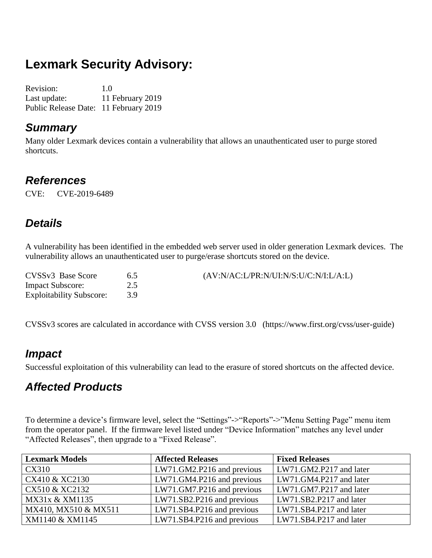# **Lexmark Security Advisory:**

Revision: 1.0 Last update: 11 February 2019 Public Release Date: 11 February 2019

#### *Summary*

Many older Lexmark devices contain a vulnerability that allows an unauthenticated user to purge stored shortcuts.

#### *References*

CVE: CVE-2019-6489

## *Details*

A vulnerability has been identified in the embedded web server used in older generation Lexmark devices. The vulnerability allows an unauthenticated user to purge/erase shortcuts stored on the device.

| CVSSv3 Base Score               | 65 | (AV:N/AC:L/PR:N/UI:N/S:U/C:N/I:L/A:L) |
|---------------------------------|----|---------------------------------------|
| <b>Impact Subscore:</b>         |    |                                       |
| <b>Exploitability Subscore:</b> |    |                                       |

CVSSv3 scores are calculated in accordance with CVSS version 3.0 (https://www.first.org/cvss/user-guide)

#### *Impact*

Successful exploitation of this vulnerability can lead to the erasure of stored shortcuts on the affected device.

## *Affected Products*

To determine a device's firmware level, select the "Settings"->"Reports"->"Menu Setting Page" menu item from the operator panel. If the firmware level listed under "Device Information" matches any level under "Affected Releases", then upgrade to a "Fixed Release".

| <b>Lexmark Models</b> | <b>Affected Releases</b>   | <b>Fixed Releases</b>   |
|-----------------------|----------------------------|-------------------------|
| <b>CX310</b>          | LW71.GM2.P216 and previous | LW71.GM2.P217 and later |
| CX410 & XC2130        | LW71.GM4.P216 and previous | LW71.GM4.P217 and later |
| CX510 & XC2132        | LW71.GM7.P216 and previous | LW71.GM7.P217 and later |
| MX31x & XM1135        | LW71.SB2.P216 and previous | LW71.SB2.P217 and later |
| MX410, MX510 & MX511  | LW71.SB4.P216 and previous | LW71.SB4.P217 and later |
| XM1140 & XM1145       | LW71.SB4.P216 and previous | LW71.SB4.P217 and later |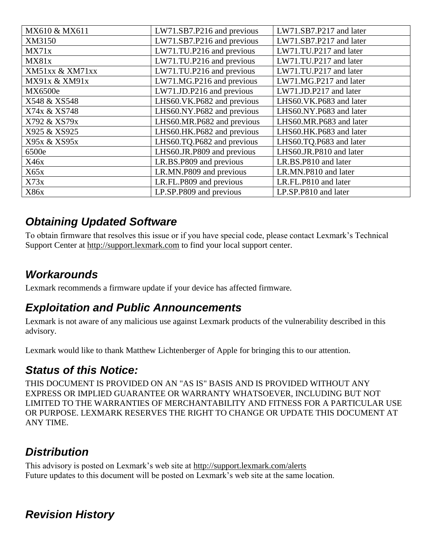| MX610 & MX611   | LW71.SB7.P216 and previous | LW71.SB7.P217 and later |
|-----------------|----------------------------|-------------------------|
| XM3150          | LW71.SB7.P216 and previous | LW71.SB7.P217 and later |
| MX71x           | LW71.TU.P216 and previous  | LW71.TU.P217 and later  |
| MX81x           | LW71.TU.P216 and previous  | LW71.TU.P217 and later  |
| XM51xx & XM71xx | LW71.TU.P216 and previous  | LW71.TU.P217 and later  |
| MX91x & XM91x   | LW71.MG.P216 and previous  | LW71.MG.P217 and later  |
| MX6500e         | LW71.JD.P216 and previous  | LW71.JD.P217 and later  |
| X548 & XS548    | LHS60.VK.P682 and previous | LHS60.VK.P683 and later |
| X74x & XS748    | LHS60.NY.P682 and previous | LHS60.NY.P683 and later |
| X792 & XS79x    | LHS60.MR.P682 and previous | LHS60.MR.P683 and later |
| X925 & XS925    | LHS60.HK.P682 and previous | LHS60.HK.P683 and later |
| X95x & XS95x    | LHS60.TQ.P682 and previous | LHS60.TQ.P683 and later |
| 6500e           | LHS60.JR.P809 and previous | LHS60.JR.P810 and later |
| X46x            | LR.BS.P809 and previous    | LR.BS.P810 and later    |
| X65x            | LR.MN.P809 and previous    | LR.MN.P810 and later    |
| X73x            | LR.FL.P809 and previous    | LR.FL.P810 and later    |
| X86x            | LP.SP.P809 and previous    | LP.SP.P810 and later    |

### *Obtaining Updated Software*

To obtain firmware that resolves this issue or if you have special code, please contact Lexmark's Technical Support Center at [http://support.lexmark.com](http://support.lexmark.com/) to find your local support center.

## *Workarounds*

Lexmark recommends a firmware update if your device has affected firmware.

### *Exploitation and Public Announcements*

Lexmark is not aware of any malicious use against Lexmark products of the vulnerability described in this advisory.

Lexmark would like to thank Matthew Lichtenberger of Apple for bringing this to our attention.

### *Status of this Notice:*

THIS DOCUMENT IS PROVIDED ON AN "AS IS" BASIS AND IS PROVIDED WITHOUT ANY EXPRESS OR IMPLIED GUARANTEE OR WARRANTY WHATSOEVER, INCLUDING BUT NOT LIMITED TO THE WARRANTIES OF MERCHANTABILITY AND FITNESS FOR A PARTICULAR USE OR PURPOSE. LEXMARK RESERVES THE RIGHT TO CHANGE OR UPDATE THIS DOCUMENT AT ANY TIME.

## *Distribution*

This advisory is posted on Lexmark's web site at<http://support.lexmark.com/alerts> Future updates to this document will be posted on Lexmark's web site at the same location.

## *Revision History*